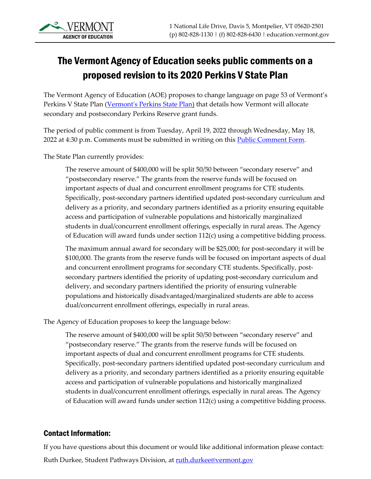## The Vermont Agency of Education seeks public comments on a proposed revision to its 2020 Perkins V State Plan

The Vermont Agency of Education (AOE) proposes to change language on page 53 of Vermont's Perkins V State Plan [\(Vermont's Perkins State Plan\)](https://education.vermont.gov/documents/vermont-perkins-v-state-plan-2020-2024) that details how Vermont will allocate secondary and postsecondary Perkins Reserve grant funds.

The period of public comment is from Tuesday, April 19, 2022 through Wednesday, May 18, 2022 at 4:30 p.m. Comments must be submitted in writing on this **Public Comment Form.** 

The State Plan currently provides:

The reserve amount of \$400,000 will be split 50/50 between "secondary reserve" and "postsecondary reserve." The grants from the reserve funds will be focused on important aspects of dual and concurrent enrollment programs for CTE students. Specifically, post-secondary partners identified updated post-secondary curriculum and delivery as a priority, and secondary partners identified as a priority ensuring equitable access and participation of vulnerable populations and historically marginalized students in dual/concurrent enrollment offerings, especially in rural areas. The Agency of Education will award funds under section 112(c) using a competitive bidding process.

The maximum annual award for secondary will be \$25,000; for post-secondary it will be \$100,000. The grants from the reserve funds will be focused on important aspects of dual and concurrent enrollment programs for secondary CTE students. Specifically, postsecondary partners identified the priority of updating post-secondary curriculum and delivery, and secondary partners identified the priority of ensuring vulnerable populations and historically disadvantaged/marginalized students are able to access dual/concurrent enrollment offerings, especially in rural areas.

The Agency of Education proposes to keep the language below:

The reserve amount of \$400,000 will be split 50/50 between "secondary reserve" and "postsecondary reserve." The grants from the reserve funds will be focused on important aspects of dual and concurrent enrollment programs for CTE students. Specifically, post-secondary partners identified updated post-secondary curriculum and delivery as a priority, and secondary partners identified as a priority ensuring equitable access and participation of vulnerable populations and historically marginalized students in dual/concurrent enrollment offerings, especially in rural areas. The Agency of Education will award funds under section 112(c) using a competitive bidding process.

## Contact Information:

If you have questions about this document or would like additional information please contact: Ruth Durkee, Student Pathways Division, at ruth.durkee@vermont.gov